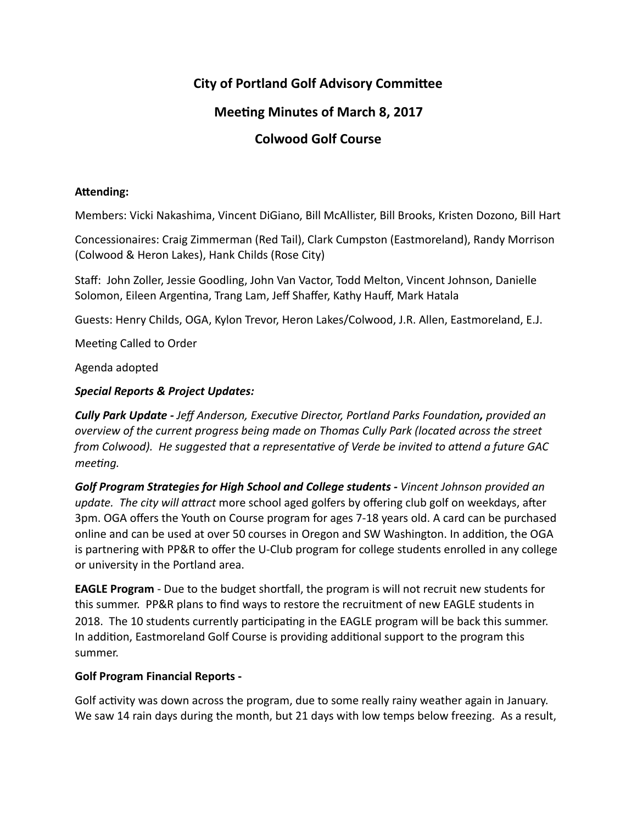# **City of Portland Golf Advisory Committee**

## **Meeting Minutes of March 8, 2017**

## **Colwood Golf Course**

## Attending:

Members: Vicki Nakashima, Vincent DiGiano, Bill McAllister, Bill Brooks, Kristen Dozono, Bill Hart

Concessionaires: Craig Zimmerman (Red Tail), Clark Cumpston (Eastmoreland), Randy Morrison (Colwood & Heron Lakes), Hank Childs (Rose City)

Staff: John Zoller, Jessie Goodling, John Van Vactor, Todd Melton, Vincent Johnson, Danielle Solomon, Eileen Argentina, Trang Lam, Jeff Shaffer, Kathy Hauff, Mark Hatala

Guests: Henry Childs, OGA, Kylon Trevor, Heron Lakes/Colwood, J.R. Allen, Eastmoreland, E.J.

Meeting Called to Order

Agenda adopted 

## *Special Reports & Project Updates:*

*Cully Park Update - Jeff Anderson, Executive Director, Portland Parks Foundation, provided an overview of the current progress being made on Thomas Cully Park (located across the street from Colwood). He suggested that a representative of Verde be invited to attend a future GAC meeting.* 

Golf Program Strategies for High School and College students - Vincent Johnson provided an *update.* The city will attract more school aged golfers by offering club golf on weekdays, after 3pm. OGA offers the Youth on Course program for ages 7-18 years old. A card can be purchased online and can be used at over 50 courses in Oregon and SW Washington. In addition, the OGA is partnering with PP&R to offer the U-Club program for college students enrolled in any college or university in the Portland area.

**EAGLE Program** - Due to the budget shortfall, the program is will not recruit new students for this summer. PP&R plans to find ways to restore the recruitment of new EAGLE students in 2018. The 10 students currently participating in the EAGLE program will be back this summer. In addition, Eastmoreland Golf Course is providing additional support to the program this summer. 

### **Golf Program Financial Reports -**

Golf activity was down across the program, due to some really rainy weather again in January. We saw 14 rain days during the month, but 21 days with low temps below freezing. As a result,